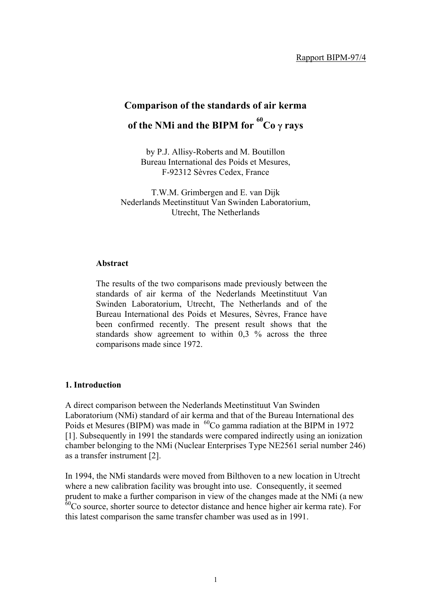# **Comparison of the standards of air kerma of the NMi and the BIPM for <sup>60</sup> Co** γ **rays**

by P.J. Allisy-Roberts and M. Boutillon Bureau International des Poids et Mesures, F-92312 Sèvres Cedex, France

T.W.M. Grimbergen and E. van Dijk Nederlands Meetinstituut Van Swinden Laboratorium, Utrecht, The Netherlands

#### **Abstract**

The results of the two comparisons made previously between the standards of air kerma of the Nederlands Meetinstituut Van Swinden Laboratorium, Utrecht, The Netherlands and of the Bureau International des Poids et Mesures, Sèvres, France have been confirmed recently. The present result shows that the standards show agreement to within 0,3 % across the three comparisons made since 1972.

#### **1. Introduction**

A direct comparison between the Nederlands Meetinstituut Van Swinden Laboratorium (NMi) standard of air kerma and that of the Bureau International des Poids et Mesures (BIPM) was made in  ${}^{60}$ Co gamma radiation at the BIPM in 1972 [1]. Subsequently in 1991 the standards were compared indirectly using an ionization chamber belonging to the NMi (Nuclear Enterprises Type NE2561 serial number 246) as a transfer instrument [2].

In 1994, the NMi standards were moved from Bilthoven to a new location in Utrecht where a new calibration facility was brought into use. Consequently, it seemed prudent to make a further comparison in view of the changes made at the NMi (a new  $60$ Co source, shorter source to detector distance and hence higher air kerma rate). For this latest comparison the same transfer chamber was used as in 1991.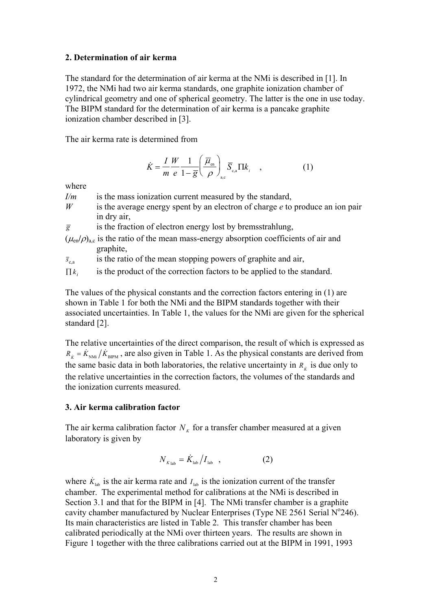#### **2. Determination of air kerma**

The standard for the determination of air kerma at the NMi is described in [1]. In 1972, the NMi had two air kerma standards, one graphite ionization chamber of cylindrical geometry and one of spherical geometry. The latter is the one in use today. The BIPM standard for the determination of air kerma is a pancake graphite ionization chamber described in [3].

The air kerma rate is determined from

$$
\dot{K} = \frac{I}{m} \frac{W}{e} \frac{1}{1 - \overline{g}} \left( \frac{\overline{\mu}_{\text{en}}}{\rho} \right)_{\text{a,c}} \overline{S}_{\text{c,a}} \Pi k_i \quad , \tag{1}
$$

where

*I/m* is the mass ionization current measured by the standard,

*W* is the average energy spent by an electron of charge *e* to produce an ion pair in dry air,

 $\overline{g}$  is the fraction of electron energy lost by bremsstrahlung,

 $(\mu_{en}/\rho)_{a.c}$  is the ratio of the mean mass-energy absorption coefficients of air and graphite,

 $\overline{s}_{\rm c,a}$ is the ratio of the mean stopping powers of graphite and air,

∏ *ki* is the product of the correction factors to be applied to the standard.

The values of the physical constants and the correction factors entering in (1) are shown in Table 1 for both the NMi and the BIPM standards together with their associated uncertainties. In Table 1, the values for the NMi are given for the spherical standard [2].

The relative uncertainties of the direct comparison, the result of which is expressed as  $R_k = \dot{K}_{NML}/\dot{K}_{BPM}$ , are also given in Table 1. As the physical constants are derived from the same basic data in both laboratories, the relative uncertainty in  $R_k$  is due only to the relative uncertainties in the correction factors, the volumes of the standards and the ionization currents measured.

#### **3. Air kerma calibration factor**

The air kerma calibration factor  $N_k$  for a transfer chamber measured at a given laboratory is given by

$$
N_{K_{\text{lab}}} = \dot{K}_{\text{lab}} / I_{\text{lab}} \quad , \tag{2}
$$

where  $\dot{K}_{\text{lab}}$  is the air kerma rate and  $I_{\text{lab}}$  is the ionization current of the transfer chamber. The experimental method for calibrations at the NMi is described in Section 3.1 and that for the BIPM in [4]. The NMi transfer chamber is a graphite cavity chamber manufactured by Nuclear Enterprises (Type NE 2561 Serial  $N^{\circ}$ 246). Its main characteristics are listed in Table 2. This transfer chamber has been calibrated periodically at the NMi over thirteen years. The results are shown in Figure 1 together with the three calibrations carried out at the BIPM in 1991, 1993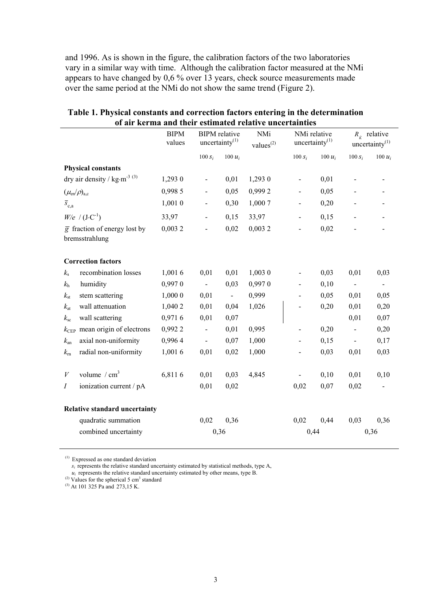and 1996. As is shown in the figure, the calibration factors of the two laboratories vary in a similar way with time. Although the calibration factor measured at the NMi appears to have changed by 0,6 % over 13 years, check source measurements made over the same period at the NMi do not show the same trend (Figure 2).

|                                                             |                                                                  | <b>BIPM</b><br>values | <b>BIPM</b> relative<br>uncertainty <sup>(1)</sup> |                          | NMi<br>values <sup>(2)</sup> | NMi relative<br>uncertainty $^{(1)}$ |           |           | $R_{\dot{K}}$ relative<br>uncertainty $(1)$ |
|-------------------------------------------------------------|------------------------------------------------------------------|-----------------------|----------------------------------------------------|--------------------------|------------------------------|--------------------------------------|-----------|-----------|---------------------------------------------|
|                                                             |                                                                  |                       | $100 s_i$                                          | 100 $u_i$                |                              | 100 $s_i$                            | 100 $u_i$ | $100 s_i$ | $100 u_i$                                   |
|                                                             | <b>Physical constants</b>                                        |                       |                                                    |                          |                              |                                      |           |           |                                             |
|                                                             | dry air density / $\text{kg} \cdot \text{m}^{-3}$ <sup>(3)</sup> | 1,293 0               | $\qquad \qquad \blacksquare$                       | 0,01                     | 1,293 0                      | $\qquad \qquad \blacksquare$         | 0,01      |           |                                             |
| $(\mu_{en}/\rho)_{a,c}$                                     |                                                                  | 0,998 5               |                                                    | 0,05                     | 0,9992                       | $\overline{\phantom{0}}$             | 0,05      |           |                                             |
| $\overline{s}_{c,a}$                                        |                                                                  | 1,001 0               |                                                    | 0,30                     | 1,000 7                      | $\overline{a}$                       | 0,20      |           |                                             |
|                                                             | $W/e$ / $(J \cdot C^{-1})$                                       | 33,97                 | $\overline{\phantom{0}}$                           | 0,15                     | 33,97                        | $\overline{\phantom{0}}$             | 0,15      |           |                                             |
| $\overline{g}$ fraction of energy lost by<br>bremsstrahlung |                                                                  | 0,0032                |                                                    | 0,02                     | 0,0032                       | $\overline{a}$                       | 0,02      |           |                                             |
|                                                             | <b>Correction factors</b>                                        |                       |                                                    |                          |                              |                                      |           |           |                                             |
| $k_{\rm s}$                                                 | recombination losses                                             | 1,001 6               | 0,01                                               | 0,01                     | 1,003 0                      |                                      | 0,03      | 0,01      | 0,03                                        |
| $k_{\rm h}$                                                 | humidity                                                         | 0,9970                | $\blacksquare$                                     | 0,03                     | 0,9970                       | -                                    | 0,10      |           |                                             |
| $k_{\rm st}$                                                | stem scattering                                                  | 1,000 0               | 0,01                                               | $\overline{\phantom{a}}$ | 0,999                        | $\overline{a}$                       | 0,05      | 0,01      | 0,05                                        |
| $k_{\rm at}$                                                | wall attenuation                                                 | 1,040 2               | 0,01                                               | 0,04                     | 1,026                        |                                      | 0,20      | 0,01      | 0,20                                        |
| $k_{\rm sc}$                                                | wall scattering                                                  | 0,9716                | 0,01                                               | 0,07                     |                              |                                      |           | 0,01      | 0,07                                        |
| $k_{\rm CEP}$                                               | mean origin of electrons                                         | 0,9922                | $\overline{\phantom{0}}$                           | 0,01                     | 0,995                        | $\overline{\phantom{0}}$             | 0,20      |           | 0,20                                        |
| $k_{\rm an}$                                                | axial non-uniformity                                             | 0,9964                |                                                    | 0,07                     | 1,000                        |                                      | 0,15      |           | 0,17                                        |
| $k_{\rm rn}$                                                | radial non-uniformity                                            | 1,001 6               | 0,01                                               | 0,02                     | 1,000                        | $\overline{a}$                       | 0,03      | 0,01      | 0,03                                        |
| V                                                           | volume $/cm3$                                                    | 6,8116                | 0,01                                               | 0,03                     | 4,845                        |                                      | 0,10      | 0,01      | 0,10                                        |
| Ι                                                           | ionization current / pA                                          |                       | 0,01                                               | 0,02                     |                              | 0,02                                 | 0,07      | 0,02      |                                             |
|                                                             | Relative standard uncertainty                                    |                       |                                                    |                          |                              |                                      |           |           |                                             |
|                                                             | quadratic summation                                              |                       | 0,02                                               | 0,36                     |                              | 0,02                                 | 0,44      | 0,03      | 0,36                                        |
|                                                             | combined uncertainty                                             |                       | 0,36                                               |                          |                              | 0,44                                 |           |           | 0,36                                        |

#### **Table 1. Physical constants and correction factors entering in the determination of air kerma and their estimated relative uncertainties**

(1) Expressed as one standard deviation

 $s_i$  represents the relative standard uncertainty estimated by statistical methods, type A,

 $u_i$  represents the relative standard uncertainty estimated by other means, type B.

<sup>(2)</sup> Values for the spherical 5  $\text{cm}^3$  standard

(3) At 101 325 Pa and 273,15 K.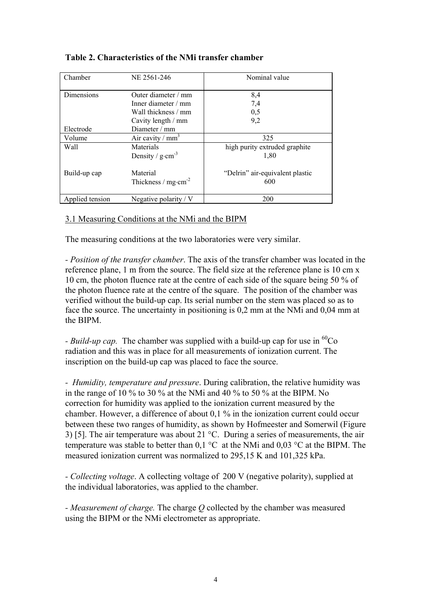| Chamber<br>NE 2561-246 |                                            | Nominal value                          |  |  |  |
|------------------------|--------------------------------------------|----------------------------------------|--|--|--|
| Dimensions             | Outer diameter / mm                        | 8,4                                    |  |  |  |
|                        | Inner diameter / mm                        | 7,4                                    |  |  |  |
|                        | Wall thickness / mm                        | 0,5                                    |  |  |  |
|                        | Cavity length / mm                         | 9,2                                    |  |  |  |
| Electrode              | Diameter $/mm$                             |                                        |  |  |  |
| Volume                 | Air cavity / $mm3$                         | 325                                    |  |  |  |
| Wall                   | Materials                                  | high purity extruded graphite          |  |  |  |
|                        | Density / $g \cdot cm^{-3}$                | 1,80                                   |  |  |  |
| Build-up cap           | Material<br>Thickness / $mg \cdot cm^{-2}$ | "Delrin" air-equivalent plastic<br>600 |  |  |  |
| Applied tension        | Negative polarity / $V$                    | 200                                    |  |  |  |

# **Table 2. Characteristics of the NMi transfer chamber**

# 3.1 Measuring Conditions at the NMi and the BIPM

The measuring conditions at the two laboratories were very similar.

*- Position of the transfer chamber*. The axis of the transfer chamber was located in the reference plane, 1 m from the source. The field size at the reference plane is 10 cm x 10 cm, the photon fluence rate at the centre of each side of the square being 50 % of the photon fluence rate at the centre of the square. The position of the chamber was verified without the build-up cap. Its serial number on the stem was placed so as to face the source. The uncertainty in positioning is 0,2 mm at the NMi and 0,04 mm at the BIPM.

*- Build-up cap.* The chamber was supplied with a build-up cap for use in <sup>60</sup>Co radiation and this was in place for all measurements of ionization current. The inscription on the build-up cap was placed to face the source.

*- Humidity, temperature and pressure*. During calibration, the relative humidity was in the range of 10 % to 30 % at the NMi and 40 % to 50 % at the BIPM. No correction for humidity was applied to the ionization current measured by the chamber. However, a difference of about 0,1 % in the ionization current could occur between these two ranges of humidity, as shown by Hofmeester and Somerwil (Figure 3) [5]. The air temperature was about 21 °C. During a series of measurements, the air temperature was stable to better than 0,1 °C at the NMi and 0,03 °C at the BIPM. The measured ionization current was normalized to 295,15 K and 101,325 kPa.

*- Collecting voltage*. A collecting voltage of 200 V (negative polarity), supplied at the individual laboratories, was applied to the chamber.

*- Measurement of charge.* The charge *Q* collected by the chamber was measured using the BIPM or the NMi electrometer as appropriate.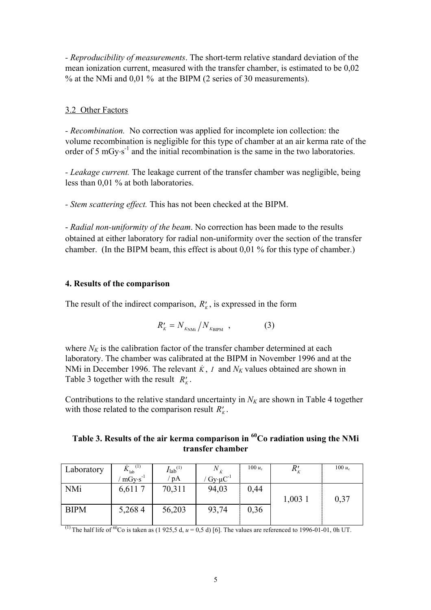*- Reproducibility of measurements*. The short-term relative standard deviation of the mean ionization current, measured with the transfer chamber, is estimated to be 0,02 % at the NMi and 0,01 % at the BIPM (2 series of 30 measurements).

# 3.2 Other Factors

*- Recombination.* No correction was applied for incomplete ion collection: the volume recombination is negligible for this type of chamber at an air kerma rate of the order of 5 mGy⋅s<sup>-1</sup> and the initial recombination is the same in the two laboratories.

*- Leakage current.* The leakage current of the transfer chamber was negligible, being less than 0,01 % at both laboratories.

*- Stem scattering effect.* This has not been checked at the BIPM.

- *Radial non-uniformity of the beam*. No correction has been made to the results obtained at either laboratory for radial non-uniformity over the section of the transfer chamber. (In the BIPM beam, this effect is about 0,01 % for this type of chamber.)

# **4. Results of the comparison**

The result of the indirect comparison,  $R'_{k}$ , is expressed in the form

$$
R'_{K} = N_{K_{\text{NMi}}}/N_{K_{\text{BIPM}}}, \qquad (3)
$$

where  $N_K$  is the calibration factor of the transfer chamber determined at each laboratory. The chamber was calibrated at the BIPM in November 1996 and at the NMi in December 1996. The relevant  $\dot{K}$ , *I* and  $N_K$  values obtained are shown in Table 3 together with the result  $R'_{k}$ .

Contributions to the relative standard uncertainty in  $N_K$  are shown in Table 4 together with those related to the comparison result  $R'_{k}$ .

# **Table 3. Results of the air kerma comparison in 60Co radiation using the NMi transfer chamber**

| Laboratory  | (1)<br>$K_{\text{lab}}$ | $I_{\text{lab}}^{(1)}$ | $N_{\dot{v}}$         | $100 u_c$ | $R_{\scriptscriptstyle{K}}^{\scriptscriptstyle{\prime}}$ | $100 u_c$ |
|-------------|-------------------------|------------------------|-----------------------|-----------|----------------------------------------------------------|-----------|
|             | $mGv·s^{-1}$            | $'$ pA                 | $Gy \cdot \mu C^{-1}$ |           |                                                          |           |
| <b>NMi</b>  | 6,6117                  | 70,311                 | 94,03                 | 0,44      |                                                          |           |
|             |                         |                        |                       |           | 1,003 1                                                  | 0,37      |
| <b>BIPM</b> | 5,2684                  | 56,203                 | 93,74                 | 0,36      |                                                          |           |
|             |                         |                        |                       |           |                                                          |           |

(1) The half life of <sup>60</sup>Co is taken as (1 925,5 d,  $u = 0.5$  d) [6]. The values are referenced to 1996-01-01, 0h UT.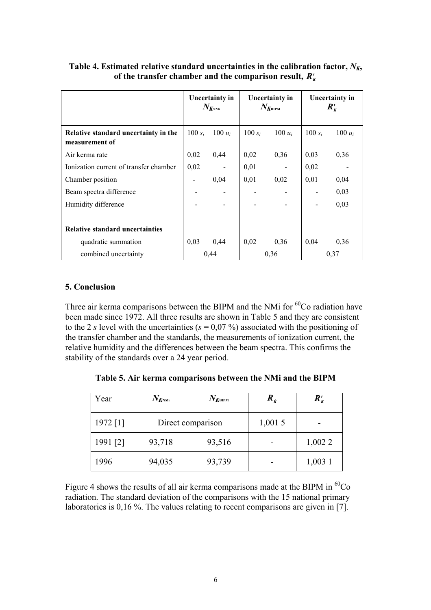|                                                        | <b>Uncertainty in</b><br>$N_{K$ nmi |           | <b>Uncertainty in</b><br>$N_{K{\scriptscriptstyle{\mathrm{BIPM}}}}$ |           | <b>Uncertainty in</b><br>$R_{K}^{\prime}$ |           |
|--------------------------------------------------------|-------------------------------------|-----------|---------------------------------------------------------------------|-----------|-------------------------------------------|-----------|
| Relative standard uncertainty in the<br>measurement of |                                     | $100 u_i$ | 100 $s_i$                                                           | 100 $u_i$ | 100 $s_i$                                 | 100 $u_i$ |
| Air kerma rate                                         | 0,02                                | 0,44      | 0,02                                                                | 0,36      | 0,03                                      | 0,36      |
| Ionization current of transfer chamber                 | 0,02                                |           | 0,01                                                                |           | 0,02                                      |           |
| Chamber position                                       |                                     | 0,04      | 0,01                                                                | 0,02      | 0,01                                      | 0,04      |
| Beam spectra difference                                |                                     |           |                                                                     |           |                                           | 0,03      |
| Humidity difference                                    |                                     |           |                                                                     |           |                                           | 0,03      |
| <b>Relative standard uncertainties</b>                 |                                     |           |                                                                     |           |                                           |           |
| quadratic summation                                    | 0,03                                | 0,44      | 0,02                                                                | 0,36      | 0,04                                      | 0,36      |
| combined uncertainty                                   | 0.44                                |           | 0,36                                                                |           | 0,37                                      |           |

Table 4. Estimated relative standard uncertainties in the calibration factor,  $N_K$ , of the transfer chamber and the comparison result,  $R'_{k}$ 

### **5. Conclusion**

Three air kerma comparisons between the BIPM and the NMi for  ${}^{60}Co$  radiation have been made since 1972. All three results are shown in Table 5 and they are consistent to the 2 *s* level with the uncertainties ( $s = 0.07$ %) associated with the positioning of the transfer chamber and the standards, the measurements of ionization current, the relative humidity and the differences between the beam spectra. This confirms the stability of the standards over a 24 year period.

**Table 5. Air kerma comparisons between the NMi and the BIPM** 

| Year     | $N_{K^{\rm NMi}}$ | $N_{K{\scriptscriptstyle{\rm BIPM}}}$ | $R_{\overline{k}}$ | $R_{K}^{\prime}$ |
|----------|-------------------|---------------------------------------|--------------------|------------------|
| 1972 [1] |                   | Direct comparison                     | 1,0015             |                  |
| 1991 [2] | 93,718            | 93,516                                |                    | 1,002 2          |
| 1996     | 94,035            | 93,739                                |                    | $1,003$ 1        |

Figure 4 shows the results of all air kerma comparisons made at the BIPM in  ${}^{60}Co$ radiation. The standard deviation of the comparisons with the 15 national primary laboratories is 0,16 %. The values relating to recent comparisons are given in [7].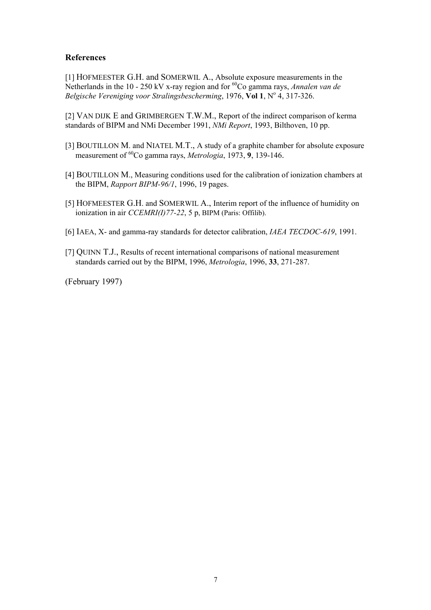#### **References**

[1] HOFMEESTER G.H. and SOMERWIL A., Absolute exposure measurements in the Netherlands in the 10 - 250 kV x-ray region and for <sup>60</sup>Co gamma rays, *Annalen van de* Belgische Vereniging voor Stralingsbescherming, 1976, Vol 1, Nº 4, 317-326.

[2] VAN DIJK E and GRIMBERGEN T.W.M., Report of the indirect comparison of kerma standards of BIPM and NMi December 1991, *NMi Report*, 1993, Bilthoven, 10 pp.

- [3] BOUTILLON M. and NIATEL M.T., A study of a graphite chamber for absolute exposure measurement of 60Co gamma rays, *Metrologia*, 1973, **9**, 139-146.
- [4] BOUTILLON M., Measuring conditions used for the calibration of ionization chambers at the BIPM, *Rapport BIPM-96/1*, 1996, 19 pages.
- [5] HOFMEESTER G.H. and SOMERWIL A., Interim report of the influence of humidity on ionization in air *CCEMRI(I)77-22*, 5 p, BIPM (Paris: Offilib).
- [6] IAEA, X- and gamma-ray standards for detector calibration, *IAEA TECDOC-619*, 1991.
- [7] QUINN T.J., Results of recent international comparisons of national measurement standards carried out by the BIPM, 1996, *Metrologia*, 1996, **33**, 271-287.

(February 1997)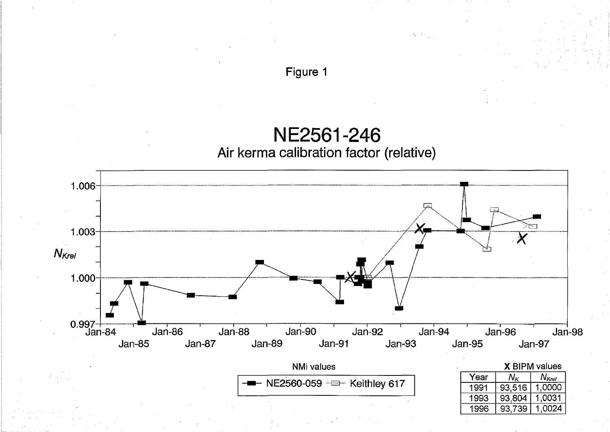**NE2561-246 Air kerma calibration factor (relative)** 

**Figure 1** 

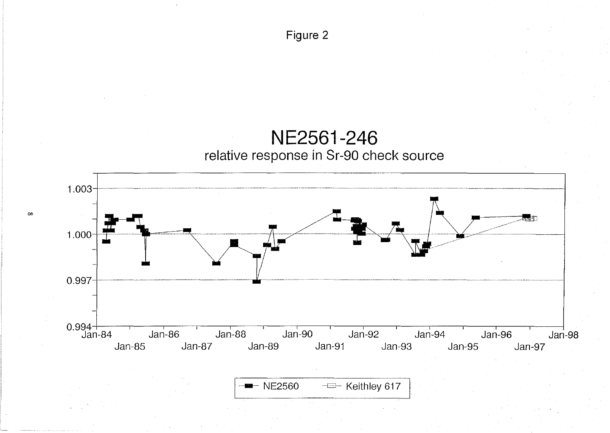

 $\blacksquare$  NE2560 - Keithley 617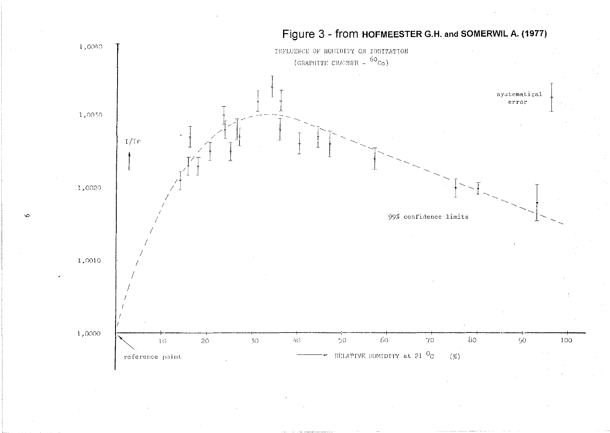

# Figure 3 - from HOFMEESTER G.H. and SOMERWIL A. (1977)

 $\circ$